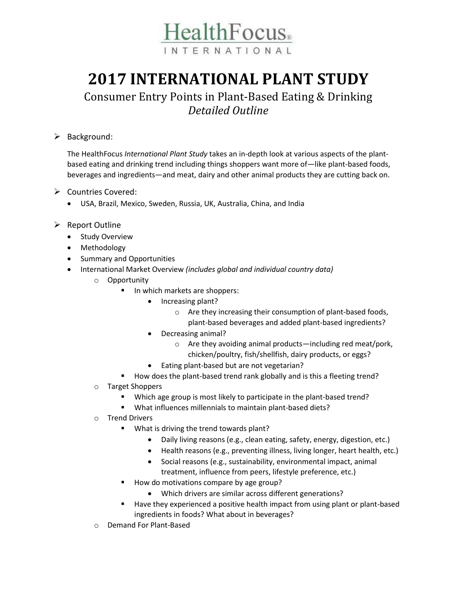

## **2017 INTERNATIONAL PLANT STUDY**

## Consumer Entry Points in Plant-Based Eating & Drinking *Detailed Outline*

## $\triangleright$  Background:

The HealthFocus *International Plant Study* takes an in-depth look at various aspects of the plantbased eating and drinking trend including things shoppers want more of—like plant-based foods, beverages and ingredients—and meat, dairy and other animal products they are cutting back on.

- Countries Covered:
	- USA, Brazil, Mexico, Sweden, Russia, UK, Australia, China, and India
- $\triangleright$  Report Outline
	- Study Overview
	- Methodology
	- Summary and Opportunities
	- International Market Overview *(includes global and individual country data)*
		- o Opportunity
			- In which markets are shoppers:
				- Increasing plant?
					- o Are they increasing their consumption of plant-based foods, plant-based beverages and added plant-based ingredients?
				- Decreasing animal?
					- o Are they avoiding animal products—including red meat/pork, chicken/poultry, fish/shellfish, dairy products, or eggs?
				- Eating plant-based but are not vegetarian?
			- How does the plant-based trend rank globally and is this a fleeting trend?
		- o Target Shoppers
			- Which age group is most likely to participate in the plant-based trend?
			- What influences millennials to maintain plant-based diets?
		- o Trend Drivers
			- What is driving the trend towards plant?
				- Daily living reasons (e.g., clean eating, safety, energy, digestion, etc.)
				- Health reasons (e.g., preventing illness, living longer, heart health, etc.)
				- Social reasons (e.g., sustainability, environmental impact, animal treatment, influence from peers, lifestyle preference, etc.)
			- How do motivations compare by age group?
				- Which drivers are similar across different generations?
			- Have they experienced a positive health impact from using plant or plant-based ingredients in foods? What about in beverages?
		- o Demand For Plant-Based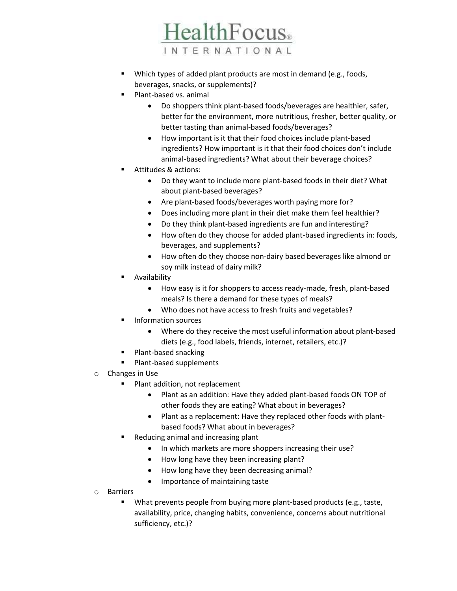INTERNATIONAL

**HealthFocus**.

- Which types of added plant products are most in demand (e.g., foods, beverages, snacks, or supplements)?
- Plant-based vs. animal
	- Do shoppers think plant-based foods/beverages are healthier, safer, better for the environment, more nutritious, fresher, better quality, or better tasting than animal-based foods/beverages?
	- How important is it that their food choices include plant-based ingredients? How important is it that their food choices don't include animal-based ingredients? What about their beverage choices?
- Attitudes & actions:
	- Do they want to include more plant-based foods in their diet? What about plant-based beverages?
	- Are plant-based foods/beverages worth paying more for?
	- Does including more plant in their diet make them feel healthier?
	- Do they think plant-based ingredients are fun and interesting?
	- How often do they choose for added plant-based ingredients in: foods, beverages, and supplements?
	- How often do they choose non-dairy based beverages like almond or soy milk instead of dairy milk?
- Availability
	- How easy is it for shoppers to access ready-made, fresh, plant-based meals? Is there a demand for these types of meals?
	- Who does not have access to fresh fruits and vegetables?
- **Information sources** 
	- Where do they receive the most useful information about plant-based diets (e.g., food labels, friends, internet, retailers, etc.)?
- Plant-based snacking
- Plant-based supplements
- o Changes in Use
	- Plant addition, not replacement
		- Plant as an addition: Have they added plant-based foods ON TOP of other foods they are eating? What about in beverages?
		- Plant as a replacement: Have they replaced other foods with plantbased foods? What about in beverages?
	- Reducing animal and increasing plant
		- In which markets are more shoppers increasing their use?
		- How long have they been increasing plant?
		- How long have they been decreasing animal?
		- Importance of maintaining taste
- o Barriers
	- What prevents people from buying more plant-based products (e.g., taste, availability, price, changing habits, convenience, concerns about nutritional sufficiency, etc.)?